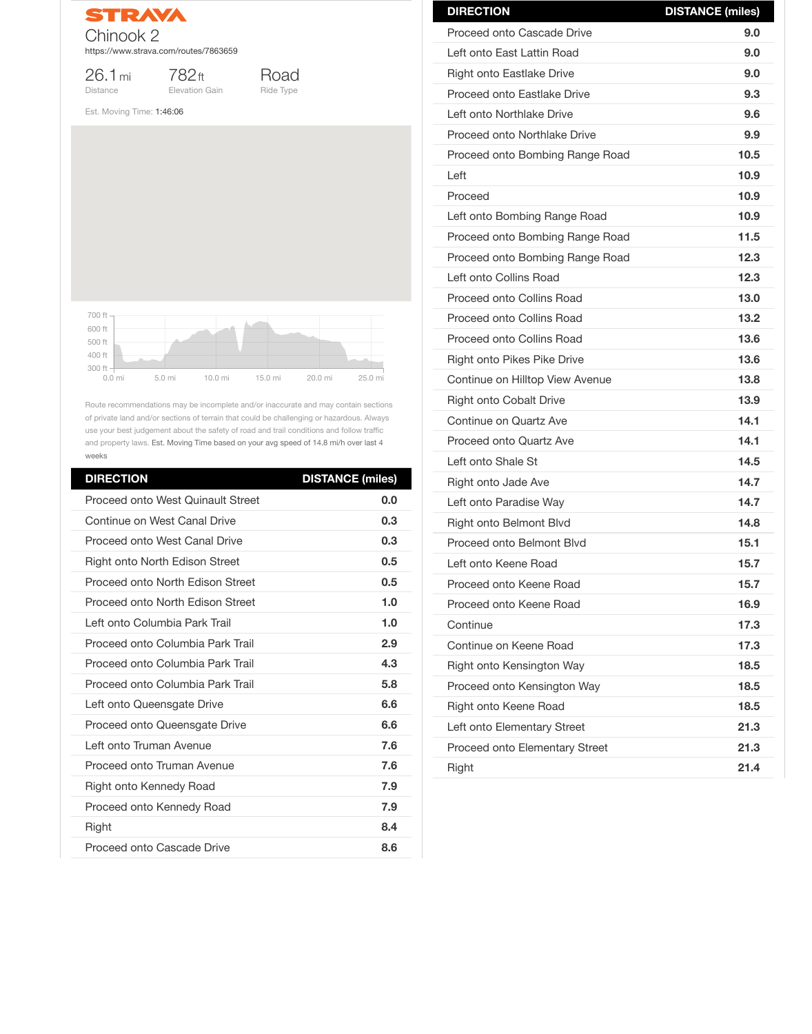STRAVA Chinook 2 https://www.strava.com/routes/7863659

26.1mi Distance

782ft Elevation Gain



Est. Moving Time: 1:46:06

Route recommendations may be incomplete and/or inaccurate and may contain sections of private land and/or sections of terrain that could be challenging or hazardous. Always use your best judgement about the safety of road and trail conditions and follow traffic and property laws. Est. Moving Time based on your avg speed of 14.8 mi/h over last 4 weeks

| <b>DIRECTION</b>                         | <b>DISTANCE (miles)</b> |
|------------------------------------------|-------------------------|
| <b>Proceed onto West Quinault Street</b> | 0.0                     |
| Continue on West Canal Drive             | 0.3                     |
| <b>Proceed onto West Canal Drive</b>     | 0.3                     |
| <b>Right onto North Edison Street</b>    | 0.5                     |
| <b>Proceed onto North Edison Street</b>  | 0.5                     |
| Proceed onto North Edison Street         | 1.0                     |
| Left onto Columbia Park Trail            | 1.0                     |
| Proceed onto Columbia Park Trail         | 2.9                     |
| Proceed onto Columbia Park Trail         | 4.3                     |
| Proceed onto Columbia Park Trail         | 5.8                     |
| Left onto Queensgate Drive               | 6.6                     |
| <b>Proceed onto Queensgate Drive</b>     | 6.6                     |
| Left onto Truman Avenue                  | 7.6                     |
| Proceed onto Truman Avenue               | 7.6                     |
| <b>Right onto Kennedy Road</b>           | 7.9                     |
| <b>Proceed onto Kennedy Road</b>         | 7.9                     |
| <b>Right</b>                             | 8.4                     |
| <b>Proceed onto Cascade Drive</b>        | 8.6                     |

| Continue on Keene Road                | 17.3 |
|---------------------------------------|------|
| <b>Right onto Kensington Way</b>      | 18.5 |
| Proceed onto Kensington Way           | 18.5 |
| Right onto Keene Road                 | 18.5 |
| Left onto Elementary Street           | 21.3 |
| <b>Proceed onto Elementary Street</b> | 21.3 |
| <b>Right</b>                          | 21.4 |
|                                       |      |



| <b>DIRECTION</b>                    | <b>DISTANCE (miles)</b> |
|-------------------------------------|-------------------------|
| <b>Proceed onto Cascade Drive</b>   | 9.0                     |
| Left onto East Lattin Road          | 9.0                     |
| <b>Right onto Eastlake Drive</b>    | 9.0                     |
| <b>Proceed onto Eastlake Drive</b>  | 9.3                     |
| Left onto Northlake Drive           | 9.6                     |
| <b>Proceed onto Northlake Drive</b> | 9.9                     |
| Proceed onto Bombing Range Road     | 10.5                    |
| Left                                | 10.9                    |
| Proceed                             | 10.9                    |
| Left onto Bombing Range Road        | 10.9                    |
| Proceed onto Bombing Range Road     | 11.5                    |
| Proceed onto Bombing Range Road     | 12.3                    |
| Left onto Collins Road              | 12.3                    |
| <b>Proceed onto Collins Road</b>    | 13.0                    |
| <b>Proceed onto Collins Road</b>    | 13.2                    |
| <b>Proceed onto Collins Road</b>    | 13.6                    |
| <b>Right onto Pikes Pike Drive</b>  | 13.6                    |
| Continue on Hilltop View Avenue     | 13.8                    |
| <b>Right onto Cobalt Drive</b>      | 13.9                    |
| <b>Continue on Quartz Ave</b>       | 14.1                    |
| <b>Proceed onto Quartz Ave</b>      | 14.1                    |
| Left onto Shale St                  | 14.5                    |
| Right onto Jade Ave                 | 14.7                    |
| Left onto Paradise Way              | 14.7                    |
| <b>Right onto Belmont Blvd</b>      | 14.8                    |
| <b>Proceed onto Belmont Blvd</b>    | 15.1                    |
| Left onto Keene Road                | 15.7                    |
| Proceed onto Keene Road             | 15.7                    |
| Proceed onto Keene Road             | 16.9                    |
| Continue                            | 17.3                    |